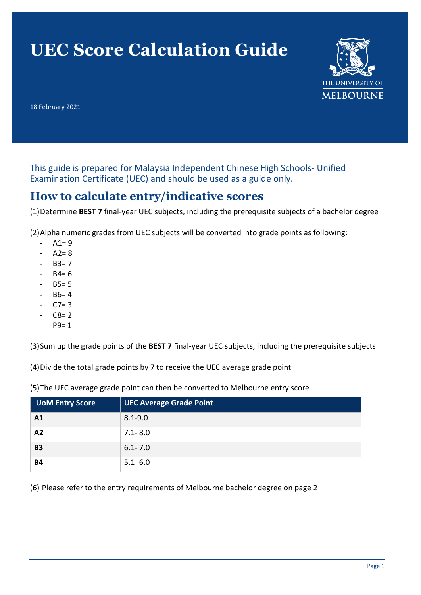## **UEC Score Calculation Guide**



18 February 2021

This guide is prepared for Malaysia Independent Chinese High Schools- Unified Examination Certificate (UEC) and should be used as a guide only.

## **How to calculate entry/indicative scores**

(1)Determine **BEST 7** final-year UEC subjects, including the prerequisite subjects of a bachelor degree

(2)Alpha numeric grades from UEC subjects will be converted into grade points as following:

- $A1 = 9$
- $A2 = 8$
- $B3 = 7$
- $B4 = 6$
- B5= 5
- $-$  B6= 4
- $C7 = 3$
- $-C8=2$
- $P9 = 1$

(3)Sum up the grade points of the **BEST 7** final-year UEC subjects, including the prerequisite subjects

(4)Divide the total grade points by 7 to receive the UEC average grade point

(5)The UEC average grade point can then be converted to Melbourne entry score

| <b>UoM Entry Score</b> | <b>UEC Average Grade Point</b> |
|------------------------|--------------------------------|
| A1                     | $8.1 - 9.0$                    |
| A2                     | $7.1 - 8.0$                    |
| <b>B3</b>              | $6.1 - 7.0$                    |
| <b>B4</b>              | $5.1 - 6.0$                    |

(6) Please refer to the entry requirements of Melbourne bachelor degree on page 2